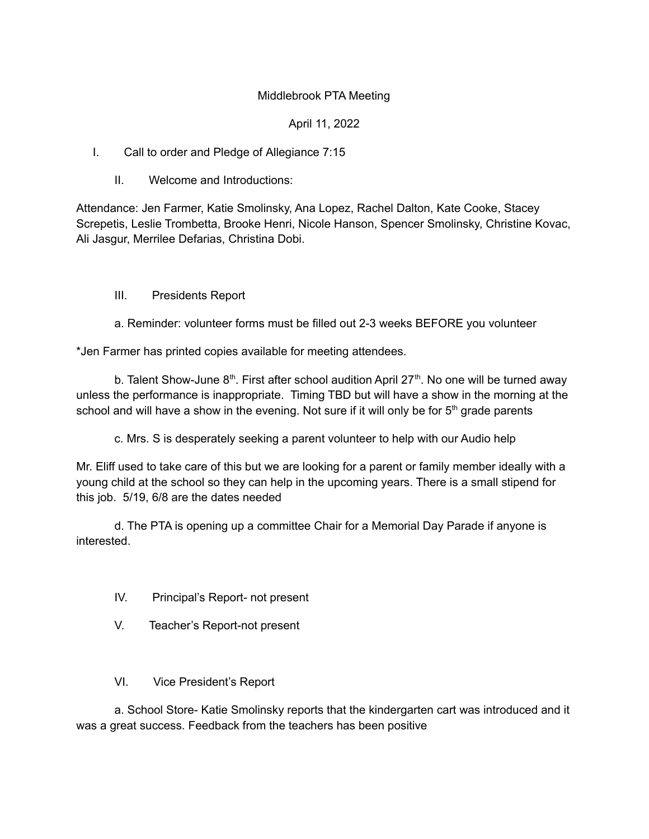## Middlebrook PTA Meeting

## April 11, 2022

I. Call to order and Pledge of Allegiance 7:15

II. Welcome and Introductions:

Attendance: Jen Farmer, Katie Smolinsky, Ana Lopez, Rachel Dalton, Kate Cooke, Stacey Screpetis, Leslie Trombetta, Brooke Henri, Nicole Hanson, Spencer Smolinsky, Christine Kovac, Ali Jasgur, Merrilee Defarias, Christina Dobi.

### III. Presidents Report

a. Reminder: volunteer forms must be filled out 2-3 weeks BEFORE you volunteer

\*Jen Farmer has printed copies available for meeting attendees.

b. Talent Show-June  $8<sup>th</sup>$ . First after school audition April 27<sup>th</sup>. No one will be turned away unless the performance is inappropriate. Timing TBD but will have a show in the morning at the school and will have a show in the evening. Not sure if it will only be for  $5<sup>th</sup>$  grade parents

c. Mrs. S is desperately seeking a parent volunteer to help with our Audio help

Mr. Eliff used to take care of this but we are looking for a parent or family member ideally with a young child at the school so they can help in the upcoming years. There is a small stipend for this job. 5/19, 6/8 are the dates needed

d. The PTA is opening up a committee Chair for a Memorial Day Parade if anyone is interested.

- IV. Principal's Report- not present
- V. Teacher's Report-not present
- VI. Vice President's Report

a. School Store- Katie Smolinsky reports that the kindergarten cart was introduced and it was a great success. Feedback from the teachers has been positive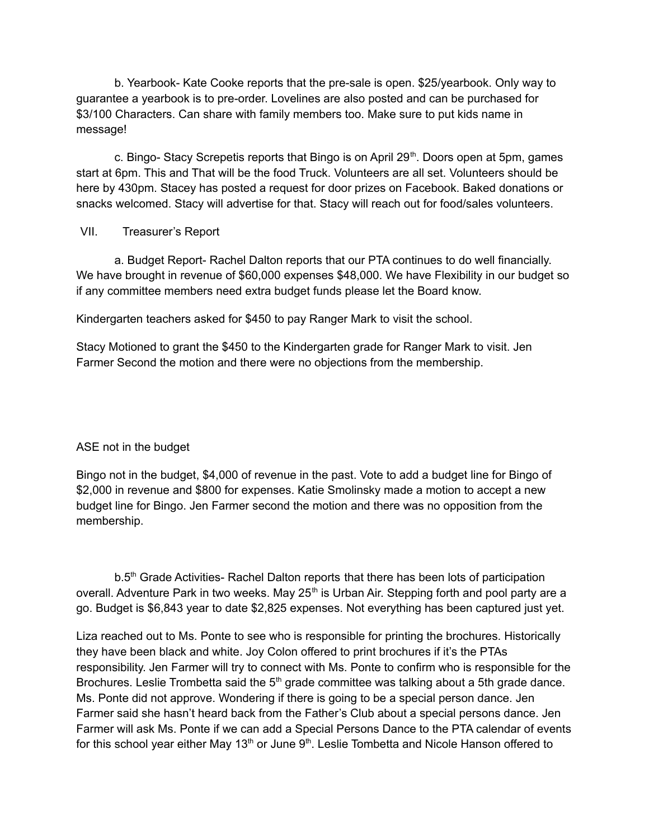b. Yearbook- Kate Cooke reports that the pre-sale is open. \$25/yearbook. Only way to guarantee a yearbook is to pre-order. Lovelines are also posted and can be purchased for \$3/100 Characters. Can share with family members too. Make sure to put kids name in message!

c. Bingo- Stacy Screpetis reports that Bingo is on April 29<sup>th</sup>. Doors open at 5pm, games start at 6pm. This and That will be the food Truck. Volunteers are all set. Volunteers should be here by 430pm. Stacey has posted a request for door prizes on Facebook. Baked donations or snacks welcomed. Stacy will advertise for that. Stacy will reach out for food/sales volunteers.

### VII. Treasurer's Report

a. Budget Report- Rachel Dalton reports that our PTA continues to do well financially. We have brought in revenue of \$60,000 expenses \$48,000. We have Flexibility in our budget so if any committee members need extra budget funds please let the Board know.

Kindergarten teachers asked for \$450 to pay Ranger Mark to visit the school.

Stacy Motioned to grant the \$450 to the Kindergarten grade for Ranger Mark to visit. Jen Farmer Second the motion and there were no objections from the membership.

# ASE not in the budget

Bingo not in the budget, \$4,000 of revenue in the past. Vote to add a budget line for Bingo of \$2,000 in revenue and \$800 for expenses. Katie Smolinsky made a motion to accept a new budget line for Bingo. Jen Farmer second the motion and there was no opposition from the membership.

b.5<sup>th</sup> Grade Activities- Rachel Dalton reports that there has been lots of participation overall. Adventure Park in two weeks. May 25<sup>th</sup> is Urban Air. Stepping forth and pool party are a go. Budget is \$6,843 year to date \$2,825 expenses. Not everything has been captured just yet.

Liza reached out to Ms. Ponte to see who is responsible for printing the brochures. Historically they have been black and white. Joy Colon offered to print brochures if it's the PTAs responsibility. Jen Farmer will try to connect with Ms. Ponte to confirm who is responsible for the Brochures. Leslie Trombetta said the 5<sup>th</sup> grade committee was talking about a 5th grade dance. Ms. Ponte did not approve. Wondering if there is going to be a special person dance. Jen Farmer said she hasn't heard back from the Father's Club about a special persons dance. Jen Farmer will ask Ms. Ponte if we can add a Special Persons Dance to the PTA calendar of events for this school year either May 13<sup>th</sup> or June 9<sup>th</sup>. Leslie Tombetta and Nicole Hanson offered to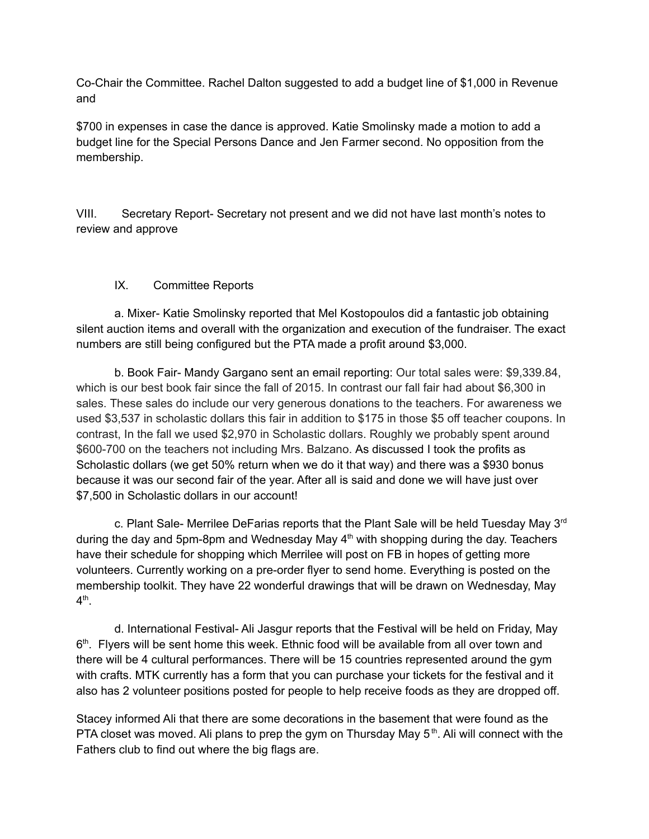Co-Chair the Committee. Rachel Dalton suggested to add a budget line of \$1,000 in Revenue and

\$700 in expenses in case the dance is approved. Katie Smolinsky made a motion to add a budget line for the Special Persons Dance and Jen Farmer second. No opposition from the membership.

VIII. Secretary Report- Secretary not present and we did not have last month's notes to review and approve

# IX. Committee Reports

a. Mixer- Katie Smolinsky reported that Mel Kostopoulos did a fantastic job obtaining silent auction items and overall with the organization and execution of the fundraiser. The exact numbers are still being configured but the PTA made a profit around \$3,000.

b. Book Fair- Mandy Gargano sent an email reporting: Our total sales were: \$9,339.84, which is our best book fair since the fall of 2015. In contrast our fall fair had about \$6,300 in sales. These sales do include our very generous donations to the teachers. For awareness we used \$3,537 in scholastic dollars this fair in addition to \$175 in those \$5 off teacher coupons. In contrast, In the fall we used \$2,970 in Scholastic dollars. Roughly we probably spent around \$600-700 on the teachers not including Mrs. Balzano. As discussed I took the profits as Scholastic dollars (we get 50% return when we do it that way) and there was a \$930 bonus because it was our second fair of the year. After all is said and done we will have just over \$7,500 in Scholastic dollars in our account!

c. Plant Sale- Merrilee DeFarias reports that the Plant Sale will be held Tuesday May  $3<sup>rd</sup>$ during the day and 5pm-8pm and Wednesday May  $4<sup>th</sup>$  with shopping during the day. Teachers have their schedule for shopping which Merrilee will post on FB in hopes of getting more volunteers. Currently working on a pre-order flyer to send home. Everything is posted on the membership toolkit. They have 22 wonderful drawings that will be drawn on Wednesday, May  $4^{\text{th}}$ .

d. International Festival- Ali Jasgur reports that the Festival will be held on Friday, May 6<sup>th</sup>. Flyers will be sent home this week. Ethnic food will be available from all over town and there will be 4 cultural performances. There will be 15 countries represented around the gym with crafts. MTK currently has a form that you can purchase your tickets for the festival and it also has 2 volunteer positions posted for people to help receive foods as they are dropped off.

Stacey informed Ali that there are some decorations in the basement that were found as the PTA closet was moved. Ali plans to prep the gym on Thursday May  $5<sup>th</sup>$ . Ali will connect with the Fathers club to find out where the big flags are.